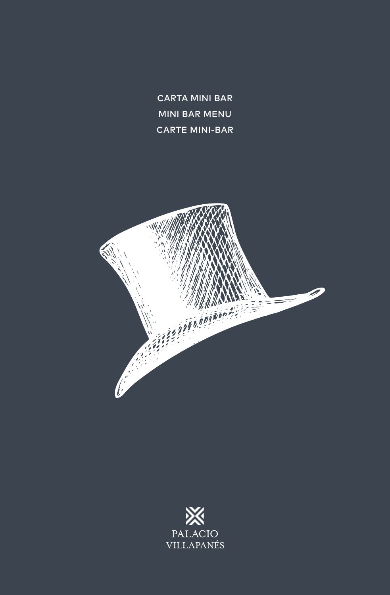CARTA MINI BAR MINI BAR MENU CARTE MINI-BAR